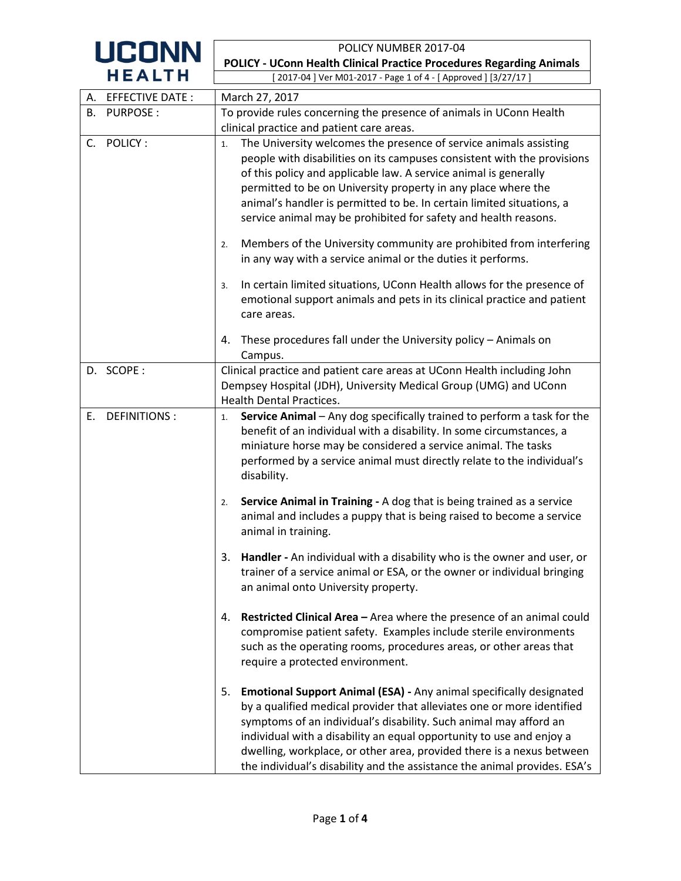| <b>UCONN</b>              | POLICY NUMBER 2017-04                                                                                                                                                                                                                                                                                                                                                                                                                                                                                                                                                                                                                                                                                                                                     |  |  |  |  |
|---------------------------|-----------------------------------------------------------------------------------------------------------------------------------------------------------------------------------------------------------------------------------------------------------------------------------------------------------------------------------------------------------------------------------------------------------------------------------------------------------------------------------------------------------------------------------------------------------------------------------------------------------------------------------------------------------------------------------------------------------------------------------------------------------|--|--|--|--|
|                           | <b>POLICY - UConn Health Clinical Practice Procedures Regarding Animals</b>                                                                                                                                                                                                                                                                                                                                                                                                                                                                                                                                                                                                                                                                               |  |  |  |  |
| <b>HEALTH</b>             | 2017-04 ] Ver M01-2017 - Page 1 of 4 - [ Approved ] [3/27/17 ]                                                                                                                                                                                                                                                                                                                                                                                                                                                                                                                                                                                                                                                                                            |  |  |  |  |
| A. EFFECTIVE DATE:        | March 27, 2017                                                                                                                                                                                                                                                                                                                                                                                                                                                                                                                                                                                                                                                                                                                                            |  |  |  |  |
| <b>PURPOSE:</b><br>В.     | To provide rules concerning the presence of animals in UConn Health<br>clinical practice and patient care areas.                                                                                                                                                                                                                                                                                                                                                                                                                                                                                                                                                                                                                                          |  |  |  |  |
|                           |                                                                                                                                                                                                                                                                                                                                                                                                                                                                                                                                                                                                                                                                                                                                                           |  |  |  |  |
| POLICY:<br>$C_{\cdot}$    | The University welcomes the presence of service animals assisting<br>1.<br>people with disabilities on its campuses consistent with the provisions<br>of this policy and applicable law. A service animal is generally<br>permitted to be on University property in any place where the<br>animal's handler is permitted to be. In certain limited situations, a<br>service animal may be prohibited for safety and health reasons.<br>Members of the University community are prohibited from interfering<br>2.<br>in any way with a service animal or the duties it performs.<br>In certain limited situations, UConn Health allows for the presence of<br>3.<br>emotional support animals and pets in its clinical practice and patient<br>care areas. |  |  |  |  |
|                           | These procedures fall under the University policy - Animals on<br>4.<br>Campus.                                                                                                                                                                                                                                                                                                                                                                                                                                                                                                                                                                                                                                                                           |  |  |  |  |
| D. SCOPE:                 | Clinical practice and patient care areas at UConn Health including John<br>Dempsey Hospital (JDH), University Medical Group (UMG) and UConn<br><b>Health Dental Practices.</b>                                                                                                                                                                                                                                                                                                                                                                                                                                                                                                                                                                            |  |  |  |  |
| <b>DEFINITIONS:</b><br>E. | Service Animal - Any dog specifically trained to perform a task for the<br>1.<br>benefit of an individual with a disability. In some circumstances, a<br>miniature horse may be considered a service animal. The tasks<br>performed by a service animal must directly relate to the individual's<br>disability.                                                                                                                                                                                                                                                                                                                                                                                                                                           |  |  |  |  |
|                           | Service Animal in Training - A dog that is being trained as a service<br>2.<br>animal and includes a puppy that is being raised to become a service<br>animal in training.                                                                                                                                                                                                                                                                                                                                                                                                                                                                                                                                                                                |  |  |  |  |
|                           | Handler - An individual with a disability who is the owner and user, or<br>3.<br>trainer of a service animal or ESA, or the owner or individual bringing<br>an animal onto University property.                                                                                                                                                                                                                                                                                                                                                                                                                                                                                                                                                           |  |  |  |  |
|                           | Restricted Clinical Area - Area where the presence of an animal could<br>4.<br>compromise patient safety. Examples include sterile environments<br>such as the operating rooms, procedures areas, or other areas that<br>require a protected environment.                                                                                                                                                                                                                                                                                                                                                                                                                                                                                                 |  |  |  |  |
|                           | Emotional Support Animal (ESA) - Any animal specifically designated<br>5.<br>by a qualified medical provider that alleviates one or more identified<br>symptoms of an individual's disability. Such animal may afford an<br>individual with a disability an equal opportunity to use and enjoy a<br>dwelling, workplace, or other area, provided there is a nexus between<br>the individual's disability and the assistance the animal provides. ESA's                                                                                                                                                                                                                                                                                                    |  |  |  |  |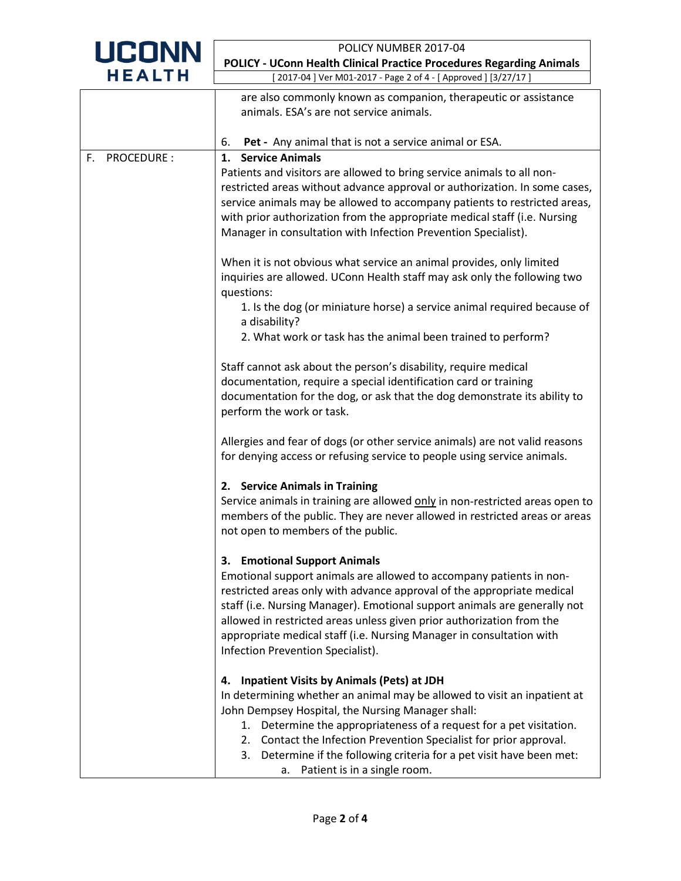| <b>UCONN</b>            | POLICY NUMBER 2017-04<br><b>POLICY - UConn Health Clinical Practice Procedures Regarding Animals</b>                                                                                             |  |  |  |  |
|-------------------------|--------------------------------------------------------------------------------------------------------------------------------------------------------------------------------------------------|--|--|--|--|
|                         |                                                                                                                                                                                                  |  |  |  |  |
| <b>HEALTH</b>           | 2017-04 ] Ver M01-2017 - Page 2 of 4 - [ Approved ] [3/27/17 ]                                                                                                                                   |  |  |  |  |
|                         | are also commonly known as companion, therapeutic or assistance                                                                                                                                  |  |  |  |  |
|                         | animals. ESA's are not service animals.                                                                                                                                                          |  |  |  |  |
|                         |                                                                                                                                                                                                  |  |  |  |  |
|                         | Pet - Any animal that is not a service animal or ESA.<br>6.                                                                                                                                      |  |  |  |  |
| <b>PROCEDURE:</b><br>F. | 1. Service Animals<br>Patients and visitors are allowed to bring service animals to all non-                                                                                                     |  |  |  |  |
|                         | restricted areas without advance approval or authorization. In some cases,                                                                                                                       |  |  |  |  |
|                         | service animals may be allowed to accompany patients to restricted areas,                                                                                                                        |  |  |  |  |
|                         | with prior authorization from the appropriate medical staff (i.e. Nursing                                                                                                                        |  |  |  |  |
|                         | Manager in consultation with Infection Prevention Specialist).                                                                                                                                   |  |  |  |  |
|                         | When it is not obvious what service an animal provides, only limited<br>inquiries are allowed. UConn Health staff may ask only the following two<br>questions:                                   |  |  |  |  |
|                         | 1. Is the dog (or miniature horse) a service animal required because of                                                                                                                          |  |  |  |  |
|                         | a disability?<br>2. What work or task has the animal been trained to perform?                                                                                                                    |  |  |  |  |
|                         |                                                                                                                                                                                                  |  |  |  |  |
|                         | Staff cannot ask about the person's disability, require medical                                                                                                                                  |  |  |  |  |
|                         | documentation, require a special identification card or training                                                                                                                                 |  |  |  |  |
|                         | documentation for the dog, or ask that the dog demonstrate its ability to<br>perform the work or task.                                                                                           |  |  |  |  |
|                         | Allergies and fear of dogs (or other service animals) are not valid reasons<br>for denying access or refusing service to people using service animals.                                           |  |  |  |  |
|                         | 2. Service Animals in Training                                                                                                                                                                   |  |  |  |  |
|                         | Service animals in training are allowed only in non-restricted areas open to<br>members of the public. They are never allowed in restricted areas or areas<br>not open to members of the public. |  |  |  |  |
|                         | 3. Emotional Support Animals                                                                                                                                                                     |  |  |  |  |
|                         | Emotional support animals are allowed to accompany patients in non-                                                                                                                              |  |  |  |  |
|                         | restricted areas only with advance approval of the appropriate medical                                                                                                                           |  |  |  |  |
|                         | staff (i.e. Nursing Manager). Emotional support animals are generally not                                                                                                                        |  |  |  |  |
|                         | allowed in restricted areas unless given prior authorization from the                                                                                                                            |  |  |  |  |
|                         | appropriate medical staff (i.e. Nursing Manager in consultation with<br>Infection Prevention Specialist).                                                                                        |  |  |  |  |
|                         | <b>Inpatient Visits by Animals (Pets) at JDH</b><br>4.                                                                                                                                           |  |  |  |  |
|                         | In determining whether an animal may be allowed to visit an inpatient at                                                                                                                         |  |  |  |  |
|                         | John Dempsey Hospital, the Nursing Manager shall:                                                                                                                                                |  |  |  |  |
|                         | 1. Determine the appropriateness of a request for a pet visitation.                                                                                                                              |  |  |  |  |
|                         | 2. Contact the Infection Prevention Specialist for prior approval.<br>3. Determine if the following criteria for a pet visit have been met:                                                      |  |  |  |  |
|                         | Patient is in a single room.<br>а.                                                                                                                                                               |  |  |  |  |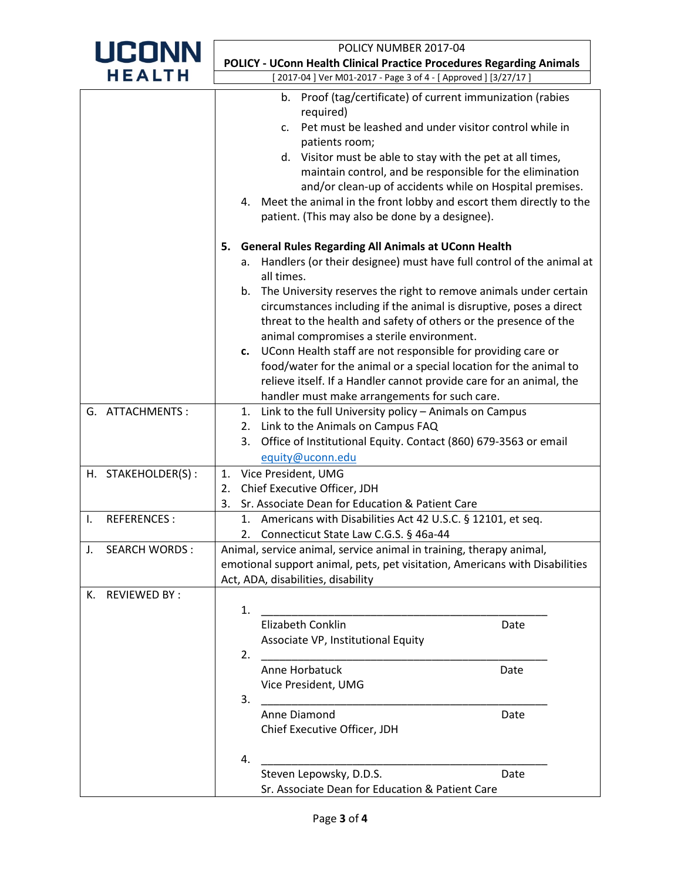| <b>UCONN</b>              | POLICY NUMBER 2017-04                                                                                                                                                                                                                                                                                                                                                                                                                                                                                                                                                                                                                                                                        |  |  |  |  |
|---------------------------|----------------------------------------------------------------------------------------------------------------------------------------------------------------------------------------------------------------------------------------------------------------------------------------------------------------------------------------------------------------------------------------------------------------------------------------------------------------------------------------------------------------------------------------------------------------------------------------------------------------------------------------------------------------------------------------------|--|--|--|--|
|                           | <b>POLICY - UConn Health Clinical Practice Procedures Regarding Animals</b>                                                                                                                                                                                                                                                                                                                                                                                                                                                                                                                                                                                                                  |  |  |  |  |
| <b>HEALTH</b>             | [2017-04 ] Ver M01-2017 - Page 3 of 4 - [ Approved ] [3/27/17 ]                                                                                                                                                                                                                                                                                                                                                                                                                                                                                                                                                                                                                              |  |  |  |  |
|                           | Proof (tag/certificate) of current immunization (rabies<br>b.<br>required)<br>Pet must be leashed and under visitor control while in<br>C.<br>patients room;<br>d. Visitor must be able to stay with the pet at all times,<br>maintain control, and be responsible for the elimination<br>and/or clean-up of accidents while on Hospital premises.<br>4. Meet the animal in the front lobby and escort them directly to the<br>patient. (This may also be done by a designee).                                                                                                                                                                                                               |  |  |  |  |
|                           | <b>General Rules Regarding All Animals at UConn Health</b><br>5.<br>Handlers (or their designee) must have full control of the animal at<br>а.<br>all times.<br>b. The University reserves the right to remove animals under certain<br>circumstances including if the animal is disruptive, poses a direct<br>threat to the health and safety of others or the presence of the<br>animal compromises a sterile environment.<br>c. UConn Health staff are not responsible for providing care or<br>food/water for the animal or a special location for the animal to<br>relieve itself. If a Handler cannot provide care for an animal, the<br>handler must make arrangements for such care. |  |  |  |  |
| G. ATTACHMENTS :          | Link to the full University policy - Animals on Campus<br>1.<br>Link to the Animals on Campus FAQ<br>2.<br>Office of Institutional Equity. Contact (860) 679-3563 or email<br>3.<br>equity@uconn.edu                                                                                                                                                                                                                                                                                                                                                                                                                                                                                         |  |  |  |  |
| H. STAKEHOLDER(S):        | Vice President, UMG<br>1.                                                                                                                                                                                                                                                                                                                                                                                                                                                                                                                                                                                                                                                                    |  |  |  |  |
|                           | Chief Executive Officer, JDH<br>2.                                                                                                                                                                                                                                                                                                                                                                                                                                                                                                                                                                                                                                                           |  |  |  |  |
|                           | Sr. Associate Dean for Education & Patient Care<br>3.                                                                                                                                                                                                                                                                                                                                                                                                                                                                                                                                                                                                                                        |  |  |  |  |
| <b>REFERENCES:</b><br>Ι.  | 1. Americans with Disabilities Act 42 U.S.C. § 12101, et seq.<br>2. Connecticut State Law C.G.S. § 46a-44                                                                                                                                                                                                                                                                                                                                                                                                                                                                                                                                                                                    |  |  |  |  |
| <b>SEARCH WORDS:</b>      | Animal, service animal, service animal in training, therapy animal,<br>emotional support animal, pets, pet visitation, Americans with Disabilities<br>Act, ADA, disabilities, disability                                                                                                                                                                                                                                                                                                                                                                                                                                                                                                     |  |  |  |  |
| <b>REVIEWED BY:</b><br>к. |                                                                                                                                                                                                                                                                                                                                                                                                                                                                                                                                                                                                                                                                                              |  |  |  |  |
|                           | 1.<br><b>Elizabeth Conklin</b><br>Date<br>Associate VP, Institutional Equity<br>2.                                                                                                                                                                                                                                                                                                                                                                                                                                                                                                                                                                                                           |  |  |  |  |
|                           | Anne Horbatuck<br>Date<br>Vice President, UMG<br>3.                                                                                                                                                                                                                                                                                                                                                                                                                                                                                                                                                                                                                                          |  |  |  |  |
|                           | Anne Diamond<br>Date<br>Chief Executive Officer, JDH                                                                                                                                                                                                                                                                                                                                                                                                                                                                                                                                                                                                                                         |  |  |  |  |
|                           | 4.<br>Steven Lepowsky, D.D.S.<br>Date<br>Sr. Associate Dean for Education & Patient Care                                                                                                                                                                                                                                                                                                                                                                                                                                                                                                                                                                                                     |  |  |  |  |